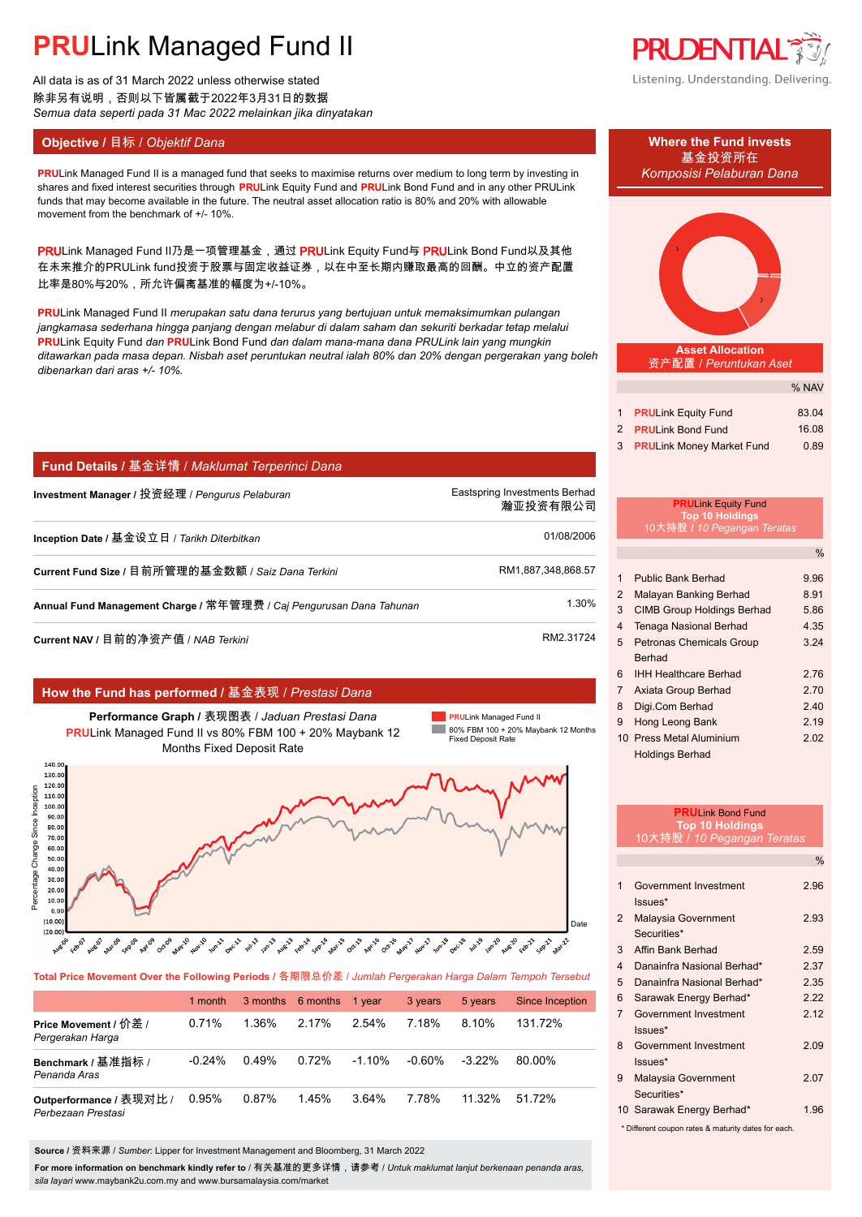All data is as of 31 March 2022 unless otherwise stated 除非另有说明,否则以下皆属截于2022年3月31日的数据 *Semua data seperti pada 31 Mac 2022 melainkan jika dinyatakan*

### **Objective /** 目标 / *Objektif Dana* **Where the Fund invests**

movement from the benchmark of +/- 10%.

*dibenarkan dari aras +/- 10%.*

比率是80%与20%,所允许偏离基准的幅度为+/-10%。

**PRUDENTIAL** 

Listening. Understanding. Delivering.

# 基金投资所在 **PRULink Managed Fund II is a managed fund that seeks to maximise returns over medium to long term by investing in Komposisi Pelaburan Dana** *ditawarkan pada masa depan. Nisbah aset peruntukan neutral ialah 80% dan 20% dengan pergerakan yang boleh*  **Asset Allocation** 资产配置 / *Peruntukan Aset*

|                              | <b>% NAV</b> |
|------------------------------|--------------|
|                              |              |
| 1 <b>PRULink Equity Fund</b> | 83.04        |
| 2 PRULink Bond Fund          | 16.08        |
| 3 PRULink Money Market Fund  | 0.89         |

 $\sim$   $\sim$   $\sim$   $\sim$ 

### **Fund Details /** 基金详情 / *Maklumat Terperinci Dana*

| Investment Manager / 投资经理 / Pengurus Pelaburan                      | Eastspring Investments Berhad<br>瀚亚投资有限公司 |
|---------------------------------------------------------------------|-------------------------------------------|
| Inception Date / 基金设立日 / Tarikh Diterbitkan                         | 01/08/2006                                |
| Current Fund Size / 目前所管理的基金数额 / Saiz Dana Terkini                  | RM1,887,348,868.57                        |
| Annual Fund Management Charge / 常年管理费 / Caj Pengurusan Dana Tahunan | 1.30%                                     |
| Current NAV / 目前的净资产值 / NAB Terkini                                 | RM2.31724                                 |

shares and fixed interest securities through **PRU**Link Equity Fund and **PRU**Link Bond Fund and in any other PRULink funds that may become available in the future. The neutral asset allocation ratio is 80% and 20% with allowable

PRULink Managed Fund II乃是一项管理基金,通过 PRULink Equity Fund与 PRULink Bond Fund以及其他 在未来推介的PRULink fund投资于股票与固定收益证券,以在中至长期内赚取最高的回酬。中立的资产配置

**PRU**Link Managed Fund II *merupakan satu dana terurus yang bertujuan untuk memaksimumkan pulangan jangkamasa sederhana hingga panjang dengan melabur di dalam saham dan sekuriti berkadar tetap melalui* **PRU**Link Equity Fund *dan* **PRU**Link Bond Fund *dan dalam mana-mana dana PRULink lain yang mungkin* 

### **How the Fund has performed /** 基金表现 / *Prestasi Dana*

**Performance Graph /** 表现图表 / *Jaduan Prestasi Dana* **PRU**Link Managed Fund II vs 80% FBM 100 + 20% Maybank 12 Months Fixed Deposit Rate

**PRU**Link Managed Fund II 80% FBM 100 + 20% Maybank 12 Months Fixed Deposit Rate



**Total Price Movement Over the Following Periods /** 各期限总价差 / *Jumlah Pergerakan Harga Dalam Tempoh Tersebut*

|                                               | 1 month  |       | 3 months 6 months 1 year |          | 3 years | 5 years   | <b>Since Inception</b> |
|-----------------------------------------------|----------|-------|--------------------------|----------|---------|-----------|------------------------|
| Price Movement / 价差 /<br>Pergerakan Harga     | 0.71%    | 1.36% | 2.17%                    | 2.54%    | 7.18%   | 8.10%     | 131.72%                |
| Benchmark / 基准指标 /<br>Penanda Aras            | $-0.24%$ | 0.49% | 0.72%                    | $-1.10%$ | -0.60%  | $-3.22\%$ | 80.00%                 |
| Outperformance / 表现对比 /<br>Perbezaan Prestasi | 0.95%    | 0.87% | 1.45%                    | $3.64\%$ | 7.78%   | 11.32%    | 51.72%                 |

**Source /** 资料来源 / *Sumber*: Lipper for Investment Management and Bloomberg, 31 March 2022

**For more information on benchmark kindly refer to** / 有关基准的更多详情,请参考 / *Untuk maklumat lanjut berkenaan penanda aras, sila layari* www.maybank2u.com.my and www.bursamalaysia.com/market

#### **PRU**Link Equity Fund **Top 10 Holdings** 10大持股 **/** *10 Pegangan Teratas*

|                |                                   | %    |
|----------------|-----------------------------------|------|
|                |                                   |      |
| 1              | Public Bank Berhad                | 9.96 |
| 2              | Malayan Banking Berhad            | 8.91 |
| 3              | <b>CIMB Group Holdings Berhad</b> | 5.86 |
| 4              | Tenaga Nasional Berhad            | 4.35 |
| 5              | <b>Petronas Chemicals Group</b>   | 3.24 |
|                | Berhad                            |      |
| 6              | <b>IHH Healthcare Berhad</b>      | 2.76 |
| $\overline{7}$ | Axiata Group Berhad               | 2.70 |
| 8              | Digi.Com Berhad                   | 2.40 |
| 9              | Hong Leong Bank                   | 2.19 |
|                | 10 Press Metal Aluminium          | 2.02 |
|                | Holdings Berhad                   |      |

|                         | <b>PRUI ink Bond Fund</b><br><b>Top 10 Holdings</b><br>10大持股 / 10 Pegangan Teratas |               |
|-------------------------|------------------------------------------------------------------------------------|---------------|
|                         |                                                                                    | $\frac{0}{0}$ |
| 1                       | Government Investment<br>$lssues*$                                                 | 2.96          |
| $\overline{2}$          | Malaysia Government<br>Securities*                                                 | 2.93          |
| 3                       | Affin Bank Berhad                                                                  | 2.59          |
| $\overline{\mathbf{4}}$ | Danainfra Nasional Berhad*                                                         | 2.37          |
| 5                       | Danainfra Nasional Berhad*                                                         | 2 35          |
| 6                       | Sarawak Energy Berhad*                                                             | 222           |
| $\overline{7}$          | Government Investment<br>$lssues*$                                                 | 2.12          |
| 8                       | Government Investment<br>Issues*                                                   | 2.09          |
| 9                       | Malaysia Government<br>Securities*                                                 | 207           |
|                         | 10 Sarawak Energy Berhad*                                                          | 1.96          |
|                         | * Different coupon rates & maturity dates for each.                                |               |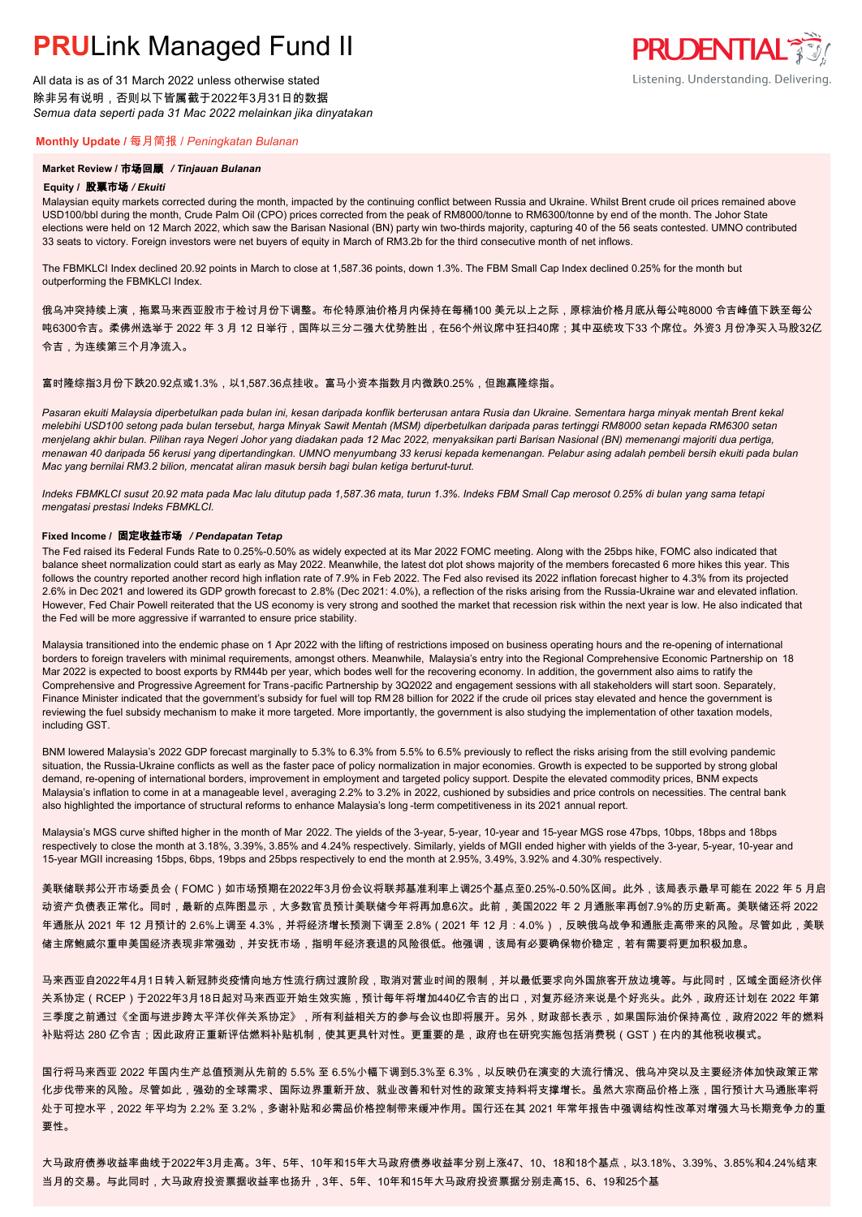All data is as of 31 March 2022 unless otherwise stated 除非另有说明,否则以下皆属截于2022年3月31日的数据 *Semua data seperti pada 31 Mac 2022 melainkan jika dinyatakan*

#### **Monthly Update /** 每月简报 / *Peningkatan Bulanan*

#### **Market Review /** 市场回顾 */ Tinjauan Bulanan*

#### **Equity /** 股票市场 */ Ekuiti.*

Malaysian equity markets corrected during the month, impacted by the continuing conflict between Russia and Ukraine. Whilst Brent crude oil prices remained above USD100/bbl during the month, Crude Palm Oil (CPO) prices corrected from the peak of RM8000/tonne to RM6300/tonne by end of the month. The Johor State elections were held on 12 March 2022, which saw the Barisan Nasional (BN) party win two-thirds majority, capturing 40 of the 56 seats contested. UMNO contributed 33 seats to victory. Foreign investors were net buyers of equity in March of RM3.2b for the third consecutive month of net inflows.

The FBMKLCI Index declined 20.92 points in March to close at 1,587.36 points, down 1.3%. The FBM Small Cap Index declined 0.25% for the month but outperforming the FBMKLCI Index.

俄乌冲突持续上演,拖累马来西亚股市于检讨月份下调整。布伦特原油价格月内保持在每桶100 美元以上之际,原棕油价格月底从每公吨8000 令吉峰值下跌至每公 吨6300令吉。柔佛州选举于 2022 年 3 月 12 日举行,国阵以三分二强大优势胜出,在56个州议席中狂扫40席;其中巫统攻下33 个席位。外资3 月份净买入马股32亿 令吉,为连续第三个月净流入。

#### 富时隆综指3月份下跌20.92点或1.3%,以1,587.36点挂收。富马小资本指数月内微跌0.25%,但跑赢隆综指。

*Pasaran ekuiti Malaysia diperbetulkan pada bulan ini, kesan daripada konflik berterusan antara Rusia dan Ukraine. Sementara harga minyak mentah Brent kekal melebihi USD100 setong pada bulan tersebut, harga Minyak Sawit Mentah (MSM) diperbetulkan daripada paras tertinggi RM8000 setan kepada RM6300 setan menjelang akhir bulan. Pilihan raya Negeri Johor yang diadakan pada 12 Mac 2022, menyaksikan parti Barisan Nasional (BN) memenangi majoriti dua pertiga, menawan 40 daripada 56 kerusi yang dipertandingkan. UMNO menyumbang 33 kerusi kepada kemenangan. Pelabur asing adalah pembeli bersih ekuiti pada bulan Mac yang bernilai RM3.2 bilion, mencatat aliran masuk bersih bagi bulan ketiga berturut-turut.*

*Indeks FBMKLCI susut 20.92 mata pada Mac lalu ditutup pada 1,587.36 mata, turun 1.3%. Indeks FBM Small Cap merosot 0.25% di bulan yang sama tetapi mengatasi prestasi Indeks FBMKLCI.*

#### **Fixed Income /** 固定收益市场 */ Pendapatan Tetap*

*.* The Fed raised its Federal Funds Rate to 0.25%-0.50% as widely expected at its Mar 2022 FOMC meeting. Along with the 25bps hike, FOMC also indicated that balance sheet normalization could start as early as May 2022. Meanwhile, the latest dot plot shows majority of the members forecasted 6 more hikes this year. This follows the country reported another record high inflation rate of 7.9% in Feb 2022. The Fed also revised its 2022 inflation forecast higher to 4.3% from its projected 2.6% in Dec 2021 and lowered its GDP growth forecast to 2.8% (Dec 2021: 4.0%), a reflection of the risks arising from the Russia-Ukraine war and elevated inflation. However, Fed Chair Powell reiterated that the US economy is very strong and soothed the market that recession risk within the next year is low. He also indicated that the Fed will be more aggressive if warranted to ensure price stability.

Malaysia transitioned into the endemic phase on 1 Apr 2022 with the lifting of restrictions imposed on business operating hours and the re-opening of international borders to foreign travelers with minimal requirements, amongst others. Meanwhile, Malaysia's entry into the Regional Comprehensive Economic Partnership on 18 Mar 2022 is expected to boost exports by RM44b per year, which bodes well for the recovering economy. In addition, the government also aims to ratify the Comprehensive and Progressive Agreement for Trans-pacific Partnership by 3Q2022 and engagement sessions with all stakeholders will start soon. Separately, Finance Minister indicated that the government's subsidy for fuel will top RM 28 billion for 2022 if the crude oil prices stay elevated and hence the government is reviewing the fuel subsidy mechanism to make it more targeted. More importantly, the government is also studying the implementation of other taxation models, including GST.

BNM lowered Malaysia's 2022 GDP forecast marginally to 5.3% to 6.3% from 5.5% to 6.5% previously to reflect the risks arising from the still evolving pandemic situation, the Russia-Ukraine conflicts as well as the faster pace of policy normalization in major economies. Growth is expected to be supported by strong global demand, re-opening of international borders, improvement in employment and targeted policy support. Despite the elevated commodity prices, BNM expects Malaysia's inflation to come in at a manageable level, averaging 2.2% to 3.2% in 2022, cushioned by subsidies and price controls on necessities. The central bank also highlighted the importance of structural reforms to enhance Malaysia's long -term competitiveness in its 2021 annual report.

Malaysia's MGS curve shifted higher in the month of Mar 2022. The yields of the 3-year, 5-year, 10-year and 15-year MGS rose 47bps, 10bps, 18bps and 18bps respectively to close the month at 3.18%, 3.39%, 3.85% and 4.24% respectively. Similarly, yields of MGII ended higher with yields of the 3-year, 5-year, 10-year and 15-year MGII increasing 15bps, 6bps, 19bps and 25bps respectively to end the month at 2.95%, 3.49%, 3.92% and 4.30% respectively.

美联储联邦公开市场委员会(FOMC)如市场预期在2022年3月份会议将联邦基准利率上调25个基点至0.25%-0.50%区间。此外,该局表示最早可能在 2022 年 5 月启 动资产负债表正常化。同时,最新的点阵图显示,大多数官员预计美联储今年将再加息6次。此前,美国2022 年 2 月通胀率再创7.9%的历史新高。美联储还将 2022 年通胀从 2021 年 12 月预计的 2.6%上调至 4.3%,并将经济增长预测下调至 2.8%(2021 年 12 月:4.0%),反映俄乌战争和通胀走高带来的风险。尽管如此,美联 储主席鲍威尔重申美国经济表现非常强劲,并安抚市场,指明年经济衰退的风险很低。他强调,该局有必要确保物价稳定,若有需要将更加积极加息。

马来西亚自2022年4月1日转入新冠肺炎疫情向地方性流行病过渡阶段,取消对营业时间的限制,并以最低要求向外国旅客开放边境等。与此同时,区域全面经济伙伴 关系协定(RCEP)于2022年3月18日起对马来西亚开始生效实施,预计每年将增加440亿令吉的出口,对复苏经济来说是个好兆头。此外,政府还计划在 2022 年第 三季度之前通过《全面与进步跨太平洋伙伴关系协定》,所有利益相关方的参与会议也即将展开。另外,财政部长表示,如果国际油价保持高位,政府2022 年的燃料 补贴将达 280 亿令吉;因此政府正重新评估燃料补贴机制,使其更具针对性。更重要的是,政府也在研究实施包括消费税(GST)在内的其他税收模式。

国行将马来西亚 2022 年国内生产总值预测从先前的 5.5% 至 6.5%小幅下调到5.3%至 6.3%,以反映仍在演变的大流行情况、俄乌冲突以及主要经济体加快政策正常 化步伐带来的风险。尽管如此,强劲的全球需求、国际边界重新开放、就业改善和针对性的政策支持料将支撑增长。虽然大宗商品价格上涨,国行预计大马通胀率将 处于可控水平,2022 年平均为 2.2% 至 3.2%,多谢补贴和必需品价格控制带来缓冲作用。国行还在其 2021 年常年报告中强调结构性改革对增强大马长期竞争力的重 要性。

大马政府债券收益率曲线于2022年3月走高。3年、5年、10年和15年大马政府债券收益率分别上涨47、10、18和18个基点,以3.18%、3.39%、3.85%和4.24%结束 当月的交易。与此同时,大马政府投资票据收益率也扬升,3年、5年、10年和15年大马政府投资票据分别走高15、6、19和25个基

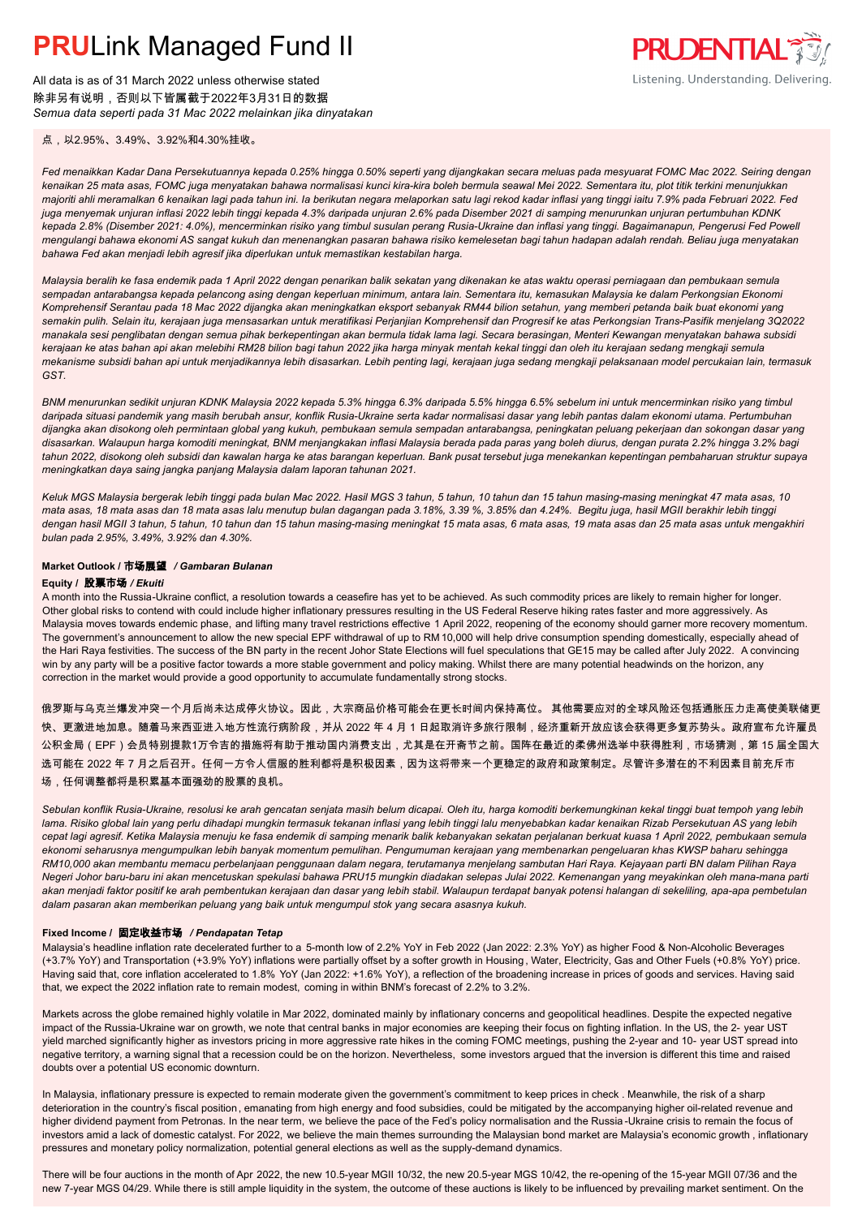All data is as of 31 March 2022 unless otherwise stated 除非另有说明,否则以下皆属截于2022年3月31日的数据 *Semua data seperti pada 31 Mac 2022 melainkan jika dinyatakan* **PRUDENTIAL** Listening. Understanding. Delivering.

点,以2.95%、3.49%、3.92%和4.30%挂收。

*Fed menaikkan Kadar Dana Persekutuannya kepada 0.25% hingga 0.50% seperti yang dijangkakan secara meluas pada mesyuarat FOMC Mac 2022. Seiring dengan kenaikan 25 mata asas, FOMC juga menyatakan bahawa normalisasi kunci kira-kira boleh bermula seawal Mei 2022. Sementara itu, plot titik terkini menunjukkan majoriti ahli meramalkan 6 kenaikan lagi pada tahun ini. Ia berikutan negara melaporkan satu lagi rekod kadar inflasi yang tinggi iaitu 7.9% pada Februari 2022. Fed juga menyemak unjuran inflasi 2022 lebih tinggi kepada 4.3% daripada unjuran 2.6% pada Disember 2021 di samping menurunkan unjuran pertumbuhan KDNK kepada 2.8% (Disember 2021: 4.0%), mencerminkan risiko yang timbul susulan perang Rusia-Ukraine dan inflasi yang tinggi. Bagaimanapun, Pengerusi Fed Powell mengulangi bahawa ekonomi AS sangat kukuh dan menenangkan pasaran bahawa risiko kemelesetan bagi tahun hadapan adalah rendah. Beliau juga menyatakan bahawa Fed akan menjadi lebih agresif jika diperlukan untuk memastikan kestabilan harga.*

*Malaysia beralih ke fasa endemik pada 1 April 2022 dengan penarikan balik sekatan yang dikenakan ke atas waktu operasi perniagaan dan pembukaan semula sempadan antarabangsa kepada pelancong asing dengan keperluan minimum, antara lain. Sementara itu, kemasukan Malaysia ke dalam Perkongsian Ekonomi Komprehensif Serantau pada 18 Mac 2022 dijangka akan meningkatkan eksport sebanyak RM44 bilion setahun, yang memberi petanda baik buat ekonomi yang semakin pulih. Selain itu, kerajaan juga mensasarkan untuk meratifikasi Perjanjian Komprehensif dan Progresif ke atas Perkongsian Trans-Pasifik menjelang 3Q2022 manakala sesi penglibatan dengan semua pihak berkepentingan akan bermula tidak lama lagi. Secara berasingan, Menteri Kewangan menyatakan bahawa subsidi kerajaan ke atas bahan api akan melebihi RM28 bilion bagi tahun 2022 jika harga minyak mentah kekal tinggi dan oleh itu kerajaan sedang mengkaji semula mekanisme subsidi bahan api untuk menjadikannya lebih disasarkan. Lebih penting lagi, kerajaan juga sedang mengkaji pelaksanaan model percukaian lain, termasuk GST.*

*BNM menurunkan sedikit unjuran KDNK Malaysia 2022 kepada 5.3% hingga 6.3% daripada 5.5% hingga 6.5% sebelum ini untuk mencerminkan risiko yang timbul daripada situasi pandemik yang masih berubah ansur, konflik Rusia-Ukraine serta kadar normalisasi dasar yang lebih pantas dalam ekonomi utama. Pertumbuhan dijangka akan disokong oleh permintaan global yang kukuh, pembukaan semula sempadan antarabangsa, peningkatan peluang pekerjaan dan sokongan dasar yang disasarkan. Walaupun harga komoditi meningkat, BNM menjangkakan inflasi Malaysia berada pada paras yang boleh diurus, dengan purata 2.2% hingga 3.2% bagi tahun 2022, disokong oleh subsidi dan kawalan harga ke atas barangan keperluan. Bank pusat tersebut juga menekankan kepentingan pembaharuan struktur supaya meningkatkan daya saing jangka panjang Malaysia dalam laporan tahunan 2021.*

*Keluk MGS Malaysia bergerak lebih tinggi pada bulan Mac 2022. Hasil MGS 3 tahun, 5 tahun, 10 tahun dan 15 tahun masing-masing meningkat 47 mata asas, 10 mata asas, 18 mata asas dan 18 mata asas lalu menutup bulan dagangan pada 3.18%, 3.39 %, 3.85% dan 4.24%. Begitu juga, hasil MGII berakhir lebih tinggi dengan hasil MGII 3 tahun, 5 tahun, 10 tahun dan 15 tahun masing-masing meningkat 15 mata asas, 6 mata asas, 19 mata asas dan 25 mata asas untuk mengakhiri bulan pada 2.95%, 3.49%, 3.92% dan 4.30%.*

#### **Market Outlook /** 市场展望 */ Gambaran Bulanan*

#### **Equity /** 股票市场 */ Ekuiti .*

A month into the Russia-Ukraine conflict, a resolution towards a ceasefire has yet to be achieved. As such commodity prices are likely to remain higher for longer. Other global risks to contend with could include higher inflationary pressures resulting in the US Federal Reserve hiking rates faster and more aggressively. As Malaysia moves towards endemic phase, and lifting many travel restrictions effective 1 April 2022, reopening of the economy should garner more recovery momentum. The government's announcement to allow the new special EPF withdrawal of up to RM 10,000 will help drive consumption spending domestically, especially ahead of the Hari Raya festivities. The success of the BN party in the recent Johor State Elections will fuel speculations that GE15 may be called after July 2022. A convincing win by any party will be a positive factor towards a more stable government and policy making. Whilst there are many potential headwinds on the horizon, any correction in the market would provide a good opportunity to accumulate fundamentally strong stocks.

俄罗斯与乌克兰爆发冲突一个月后尚未达成停火协议。因此,大宗商品价格可能会在更长时间内保持高位。 其他需要应对的全球风险还包括通胀压力走高使美联储更 快、更激进地加息。随着马来西亚进入地方性流行病阶段,并从 2022 年 4 月 1 日起取消许多旅行限制,经济重新开放应该会获得更多复苏势头。政府宣布允许雇员 公积金局(EPF)会员特别提款1万令吉的措施将有助于推动国内消费支出,尤其是在开斋节之前。国阵在最近的柔佛州选举中获得胜利,市场猜测,第 15 届全国大 选可能在 2022 年 7 月之后召开。任何一方令人信服的胜利都将是积极因素,因为这将带来一个更稳定的政府和政策制定。尽管许多潜在的不利因素目前充斥市 场,任何调整都将是积累基本面强劲的股票的良机。

*Sebulan konflik Rusia-Ukraine, resolusi ke arah gencatan senjata masih belum dicapai. Oleh itu, harga komoditi berkemungkinan kekal tinggi buat tempoh yang lebih lama. Risiko global lain yang perlu dihadapi mungkin termasuk tekanan inflasi yang lebih tinggi lalu menyebabkan kadar kenaikan Rizab Persekutuan AS yang lebih cepat lagi agresif. Ketika Malaysia menuju ke fasa endemik di samping menarik balik kebanyakan sekatan perjalanan berkuat kuasa 1 April 2022, pembukaan semula ekonomi seharusnya mengumpulkan lebih banyak momentum pemulihan. Pengumuman kerajaan yang membenarkan pengeluaran khas KWSP baharu sehingga RM10,000 akan membantu memacu perbelanjaan penggunaan dalam negara, terutamanya menjelang sambutan Hari Raya. Kejayaan parti BN dalam Pilihan Raya Negeri Johor baru-baru ini akan mencetuskan spekulasi bahawa PRU15 mungkin diadakan selepas Julai 2022. Kemenangan yang meyakinkan oleh mana-mana parti akan menjadi faktor positif ke arah pembentukan kerajaan dan dasar yang lebih stabil. Walaupun terdapat banyak potensi halangan di sekeliling, apa-apa pembetulan dalam pasaran akan memberikan peluang yang baik untuk mengumpul stok yang secara asasnya kukuh.*

#### **Fixed Income /** 固定收益市场 */ Pendapatan Tetap*

Malaysia's headline inflation rate decelerated further to a 5-month low of 2.2% YoY in Feb 2022 (Jan 2022: 2.3% YoY) as higher Food & Non-Alcoholic Beverages (+3.7% YoY) and Transportation (+3.9% YoY) inflations were partially offset by a softer growth in Housing , Water, Electricity, Gas and Other Fuels (+0.8% YoY) price. Having said that, core inflation accelerated to 1.8% YoY (Jan 2022: +1.6% YoY), a reflection of the broadening increase in prices of goods and services. Having said that, we expect the 2022 inflation rate to remain modest, coming in within BNM's forecast of 2.2% to 3.2%.

Markets across the globe remained highly volatile in Mar 2022, dominated mainly by inflationary concerns and geopolitical headlines. Despite the expected negative impact of the Russia-Ukraine war on growth, we note that central banks in major economies are keeping their focus on fighting inflation. In the US, the 2- year UST yield marched significantly higher as investors pricing in more aggressive rate hikes in the coming FOMC meetings, pushing the 2-year and 10- year UST spread into negative territory, a warning signal that a recession could be on the horizon. Nevertheless, some investors argued that the inversion is different this time and raised doubts over a potential US economic downturn.

In Malaysia, inflationary pressure is expected to remain moderate given the government's commitment to keep prices in check . Meanwhile, the risk of a sharp deterioration in the country's fiscal position, emanating from high energy and food subsidies, could be mitigated by the accompanying higher oil-related revenue and higher dividend payment from Petronas. In the near term, we believe the pace of the Fed's policy normalisation and the Russia -Ukraine crisis to remain the focus of investors amid a lack of domestic catalyst. For 2022, we believe the main themes surrounding the Malaysian bond market are Malaysia's economic growth, inflationary pressures and monetary policy normalization, potential general elections as well as the supply-demand dynamics.

There will be four auctions in the month of Apr 2022, the new 10.5-year MGII 10/32, the new 20.5-year MGS 10/42, the re-opening of the 15-year MGII 07/36 and the new 7-year MGS 04/29. While there is still ample liquidity in the system, the outcome of these auctions is likely to be influenced by prevailing market sentiment. On the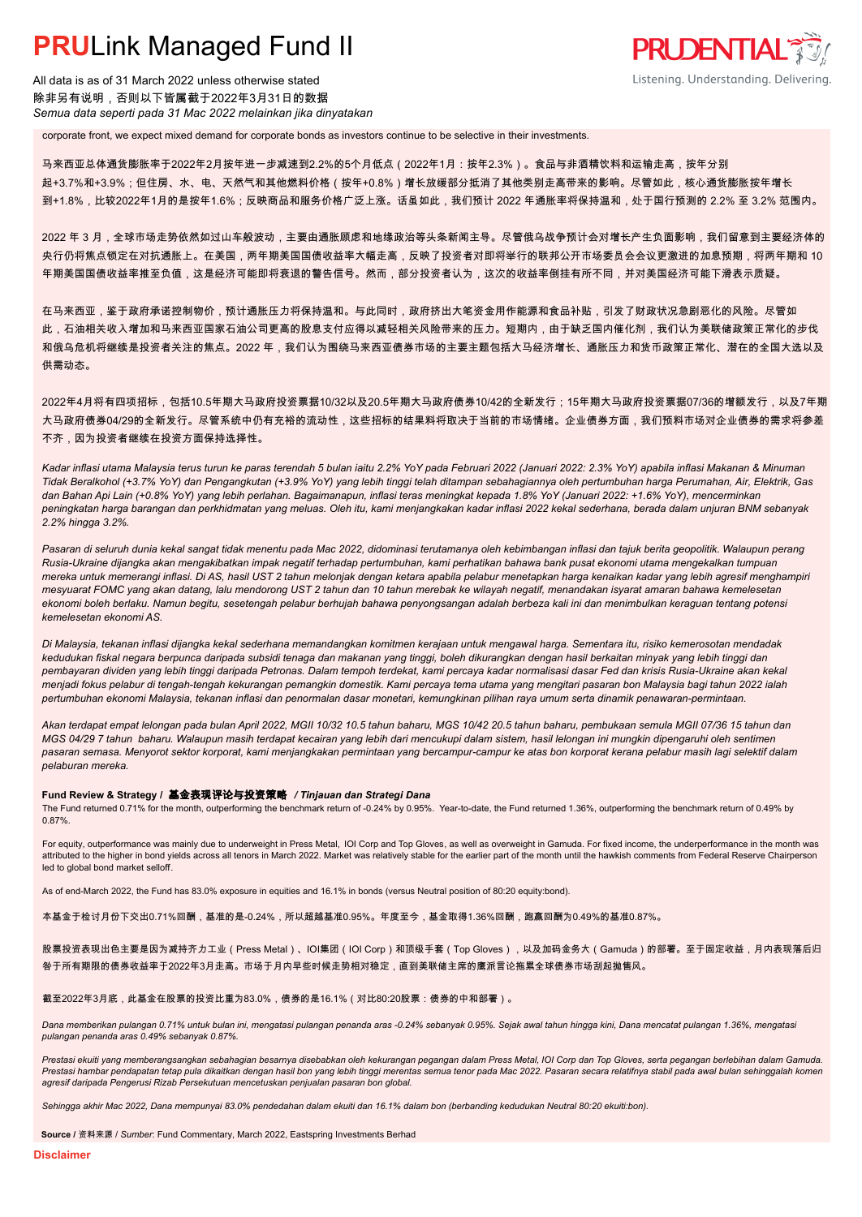All data is as of 31 March 2022 unless otherwise stated 除非另有说明,否则以下皆属截于2022年3月31日的数据 *Semua data seperti pada 31 Mac 2022 melainkan jika dinyatakan*

corporate front, we expect mixed demand for corporate bonds as investors continue to be selective in their investments.

马来西亚总体通货膨胀率于2022年2月按年进一步减速到2.2%的5个月低点(2022年1月:按年2.3%)。食品与非酒精饮料和运输走高,按年分别 起+3.7%和+3.9%;但住房、水、电、天然气和其他燃料价格(按年+0.8%)增长放缓部分抵消了其他类别走高带来的影响。尽管如此,核心通货膨胀按年增长 到+1.8%,比较2022年1月的是按年1.6%;反映商品和服务价格广泛上涨。话虽如此,我们预计 2022 年通胀率将保持温和,处于国行预测的 2.2% 至 3.2% 范围内。

**PRUDENTIAL** 

Listening. Understanding. Delivering.

2022 年 3 月,全球市场走势依然如过山车般波动,主要由通胀顾虑和地缘政治等头条新闻主导。尽管俄乌战争预计会对增长产生负面影响,我们留意到主要经济体的 央行仍将焦点锁定在对抗通胀上。在美国,两年期美国国债收益率大幅走高,反映了投资者对即将举行的联邦公开市场委员会会议更激进的加息预期,将两年期和 10 年期美国国债收益率推至负值,这是经济可能即将衰退的警告信号。然而,部分投资者认为,这次的收益率倒挂有所不同,并对美国经济可能下滑表示质疑。

在马来西亚,鉴于政府承诺控制物价,预计通胀压力将保持温和。与此同时,政府挤出大笔资金用作能源和食品补贴,引发了财政状况急剧恶化的风险。尽管如 此,石油相关收入增加和马来西亚国家石油公司更高的股息支付应得以减轻相关风险带来的压力。短期内,由于缺乏国内催化剂,我们认为美联储政策正常化的步伐 和俄乌危机将继续是投资者关注的焦点。2022 年,我们认为围绕马来西亚债券市场的主要主题包括大马经济增长、通胀压力和货币政策正常化、潜在的全国大选以及 供需动态。

2022年4月将有四项招标,包括10.5年期大马政府投资票据10/32以及20.5年期大马政府债券10/42的全新发行;15年期大马政府投资票据07/36的增额发行,以及7年期 大马政府债券04/29的全新发行。尽管系统中仍有充裕的流动性,这些招标的结果料将取决于当前的市场情绪。企业债券方面,我们预料市场对企业债券的需求将参差 不齐,因为投资者继续在投资方面保持选择性。

*Kadar inflasi utama Malaysia terus turun ke paras terendah 5 bulan iaitu 2.2% YoY pada Februari 2022 (Januari 2022: 2.3% YoY) apabila inflasi Makanan & Minuman Tidak Beralkohol (+3.7% YoY) dan Pengangkutan (+3.9% YoY) yang lebih tinggi telah ditampan sebahagiannya oleh pertumbuhan harga Perumahan, Air, Elektrik, Gas dan Bahan Api Lain (+0.8% YoY) yang lebih perlahan. Bagaimanapun, inflasi teras meningkat kepada 1.8% YoY (Januari 2022: +1.6% YoY), mencerminkan peningkatan harga barangan dan perkhidmatan yang meluas. Oleh itu, kami menjangkakan kadar inflasi 2022 kekal sederhana, berada dalam unjuran BNM sebanyak 2.2% hingga 3.2%.*

*Pasaran di seluruh dunia kekal sangat tidak menentu pada Mac 2022, didominasi terutamanya oleh kebimbangan inflasi dan tajuk berita geopolitik. Walaupun perang Rusia-Ukraine dijangka akan mengakibatkan impak negatif terhadap pertumbuhan, kami perhatikan bahawa bank pusat ekonomi utama mengekalkan tumpuan mereka untuk memerangi inflasi. Di AS, hasil UST 2 tahun melonjak dengan ketara apabila pelabur menetapkan harga kenaikan kadar yang lebih agresif menghampiri mesyuarat FOMC yang akan datang, lalu mendorong UST 2 tahun dan 10 tahun merebak ke wilayah negatif, menandakan isyarat amaran bahawa kemelesetan ekonomi boleh berlaku. Namun begitu, sesetengah pelabur berhujah bahawa penyongsangan adalah berbeza kali ini dan menimbulkan keraguan tentang potensi kemelesetan ekonomi AS.*

*Di Malaysia, tekanan inflasi dijangka kekal sederhana memandangkan komitmen kerajaan untuk mengawal harga. Sementara itu, risiko kemerosotan mendadak kedudukan fiskal negara berpunca daripada subsidi tenaga dan makanan yang tinggi, boleh dikurangkan dengan hasil berkaitan minyak yang lebih tinggi dan pembayaran dividen yang lebih tinggi daripada Petronas. Dalam tempoh terdekat, kami percaya kadar normalisasi dasar Fed dan krisis Rusia-Ukraine akan kekal menjadi fokus pelabur di tengah-tengah kekurangan pemangkin domestik. Kami percaya tema utama yang mengitari pasaran bon Malaysia bagi tahun 2022 ialah pertumbuhan ekonomi Malaysia, tekanan inflasi dan penormalan dasar monetari, kemungkinan pilihan raya umum serta dinamik penawaran-permintaan.*

*Akan terdapat empat lelongan pada bulan April 2022, MGII 10/32 10.5 tahun baharu, MGS 10/42 20.5 tahun baharu, pembukaan semula MGII 07/36 15 tahun dan MGS 04/29 7 tahun baharu. Walaupun masih terdapat kecairan yang lebih dari mencukupi dalam sistem, hasil lelongan ini mungkin dipengaruhi oleh sentimen pasaran semasa. Menyorot sektor korporat, kami menjangkakan permintaan yang bercampur-campur ke atas bon korporat kerana pelabur masih lagi selektif dalam pelaburan mereka.*

#### **Fund Review & Strategy /** 基金表现评论与投资策略 */ Tinjauan dan Strategi Dana*

The Fund returned 0.71% for the month, outperforming the benchmark return of -0.24% by 0.95%. Year-to-date, the Fund returned 1.36%, outperforming the benchmark return of 0.49% by 0.87%.

For equity, outperformance was mainly due to underweight in Press Metal, IOI Corp and Top Gloves, as well as overweight in Gamuda. For fixed income, the underperformance in the month was attributed to the higher in bond yields across all tenors in March 2022. Market was relatively stable for the earlier part of the month until the hawkish comments from Federal Reserve Chairperson led to global bond market selloff.

As of end-March 2022, the Fund has 83.0% exposure in equities and 16.1% in bonds (versus Neutral position of 80:20 equity:bond).

本基金于检讨月份下交出0.71%回酬,基准的是-0.24%,所以超越基准0.95%。年度至今,基金取得1.36%回酬,跑赢回酬为0.49%的基准0.87%。

股票投资表现出色主要是因为减持齐力工业(Press Metal)、IOI集团(IOI Corp)和顶级手套(Top Gloves),以及加码金务大(Gamuda)的部署。至于固定收益,月内表现落后归 咎于所有期限的债券收益率于2022年3月走高。市场于月内早些时候走势相对稳定,直到美联储主席的鹰派言论拖累全球债券市场刮起抛售风。

#### 截至2022年3月底,此基金在股票的投资比重为83.0%,债券的是16.1%(对比80:20股票:债券的中和部署)。

*Dana memberikan pulangan 0.71% untuk bulan ini, mengatasi pulangan penanda aras -0.24% sebanyak 0.95%. Sejak awal tahun hingga kini, Dana mencatat pulangan 1.36%, mengatasi pulangan penanda aras 0.49% sebanyak 0.87%.*

*Prestasi ekuiti yang memberangsangkan sebahagian besarnya disebabkan oleh kekurangan pegangan dalam Press Metal, IOI Corp dan Top Gloves, serta pegangan berlebihan dalam Gamuda.*  Prestasi hambar pendapatan tetap pula dikaitkan dengan hasil bon yang lebih tinggi merentas semua tenor pada Mac 2022. Pasaran secara relatifnya stabil pada awal bulan sehinggalah komen *agresif daripada Pengerusi Rizab Persekutuan mencetuskan penjualan pasaran bon global.*

*Sehingga akhir Mac 2022, Dana mempunyai 83.0% pendedahan dalam ekuiti dan 16.1% dalam bon (berbanding kedudukan Neutral 80:20 ekuiti:bon).*

**Source /** 资料来源 / *Sumber*: Fund Commentary, March 2022, Eastspring Investments Berhad